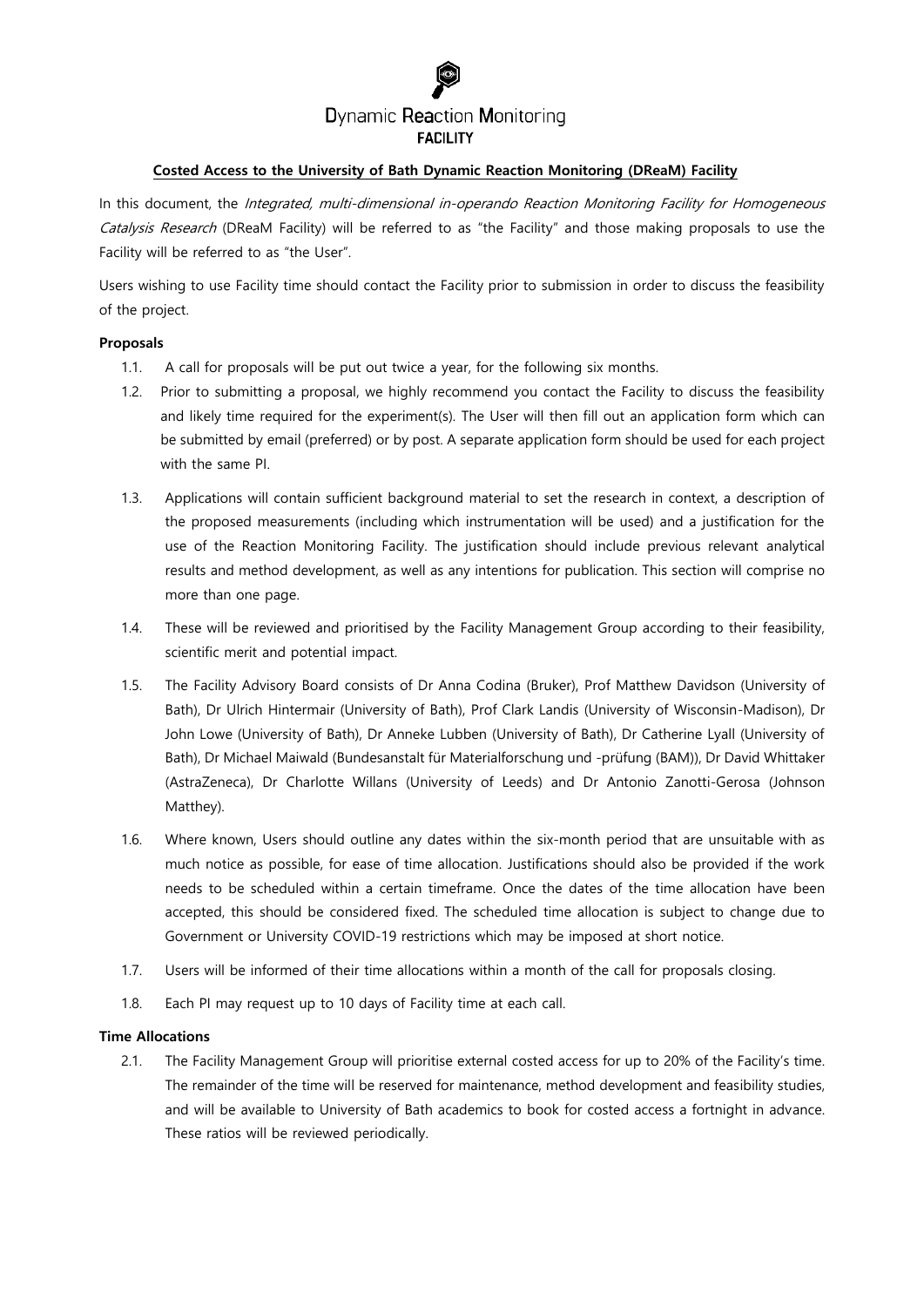# **Dynamic Reaction Monitoring FACILITY**

## **Costed Access to the University of Bath Dynamic Reaction Monitoring (DReaM) Facility**

In this document, the Integrated, multi-dimensional in-operando Reaction Monitoring Facility for Homogeneous Catalysis Research (DReaM Facility) will be referred to as "the Facility" and those making proposals to use the Facility will be referred to as "the User".

Users wishing to use Facility time should contact the Facility prior to submission in order to discuss the feasibility of the project.

## **Proposals**

- 1.1. A call for proposals will be put out twice a year, for the following six months.
- 1.2. Prior to submitting a proposal, we highly recommend you contact the Facility to discuss the feasibility and likely time required for the experiment(s). The User will then fill out an application form which can be submitted by email (preferred) or by post. A separate application form should be used for each project with the same PI.
- 1.3. Applications will contain sufficient background material to set the research in context, a description of the proposed measurements (including which instrumentation will be used) and a justification for the use of the Reaction Monitoring Facility. The justification should include previous relevant analytical results and method development, as well as any intentions for publication. This section will comprise no more than one page.
- 1.4. These will be reviewed and prioritised by the Facility Management Group according to their feasibility, scientific merit and potential impact.
- 1.5. The Facility Advisory Board consists of Dr Anna Codina (Bruker), Prof Matthew Davidson (University of Bath), Dr Ulrich Hintermair (University of Bath), Prof Clark Landis (University of Wisconsin-Madison), Dr John Lowe (University of Bath), Dr Anneke Lubben (University of Bath), Dr Catherine Lyall (University of Bath), Dr Michael Maiwald (Bundesanstalt für Materialforschung und -prüfung (BAM)), Dr David Whittaker (AstraZeneca), Dr Charlotte Willans (University of Leeds) and Dr Antonio Zanotti-Gerosa (Johnson Matthey).
- 1.6. Where known, Users should outline any dates within the six-month period that are unsuitable with as much notice as possible, for ease of time allocation. Justifications should also be provided if the work needs to be scheduled within a certain timeframe. Once the dates of the time allocation have been accepted, this should be considered fixed. The scheduled time allocation is subject to change due to Government or University COVID-19 restrictions which may be imposed at short notice.
- 1.7. Users will be informed of their time allocations within a month of the call for proposals closing.
- 1.8. Each PI may request up to 10 days of Facility time at each call.

#### **Time Allocations**

2.1. The Facility Management Group will prioritise external costed access for up to 20% of the Facility's time. The remainder of the time will be reserved for maintenance, method development and feasibility studies, and will be available to University of Bath academics to book for costed access a fortnight in advance. These ratios will be reviewed periodically.